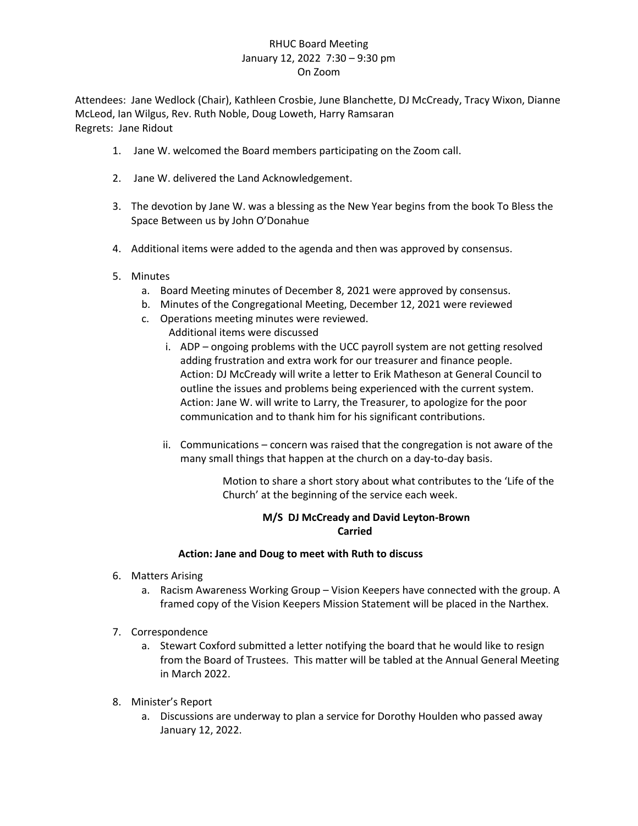## RHUC Board Meeting January 12, 2022 7:30 – 9:30 pm On Zoom

Attendees: Jane Wedlock (Chair), Kathleen Crosbie, June Blanchette, DJ McCready, Tracy Wixon, Dianne McLeod, Ian Wilgus, Rev. Ruth Noble, Doug Loweth, Harry Ramsaran Regrets: Jane Ridout

- 1. Jane W. welcomed the Board members participating on the Zoom call.
- 2. Jane W. delivered the Land Acknowledgement.
- 3. The devotion by Jane W. was a blessing as the New Year begins from the book To Bless the Space Between us by John O'Donahue
- 4. Additional items were added to the agenda and then was approved by consensus.
- 5. Minutes
	- a. Board Meeting minutes of December 8, 2021 were approved by consensus.
	- b. Minutes of the Congregational Meeting, December 12, 2021 were reviewed
	- c. Operations meeting minutes were reviewed. Additional items were discussed
		- i. ADP ongoing problems with the UCC payroll system are not getting resolved adding frustration and extra work for our treasurer and finance people. Action: DJ McCready will write a letter to Erik Matheson at General Council to outline the issues and problems being experienced with the current system. Action: Jane W. will write to Larry, the Treasurer, to apologize for the poor communication and to thank him for his significant contributions.
		- ii. Communications concern was raised that the congregation is not aware of the many small things that happen at the church on a day-to-day basis.

Motion to share a short story about what contributes to the 'Life of the Church' at the beginning of the service each week.

# **M/S DJ McCready and David Leyton-Brown Carried**

### **Action: Jane and Doug to meet with Ruth to discuss**

- 6. Matters Arising
	- a. Racism Awareness Working Group Vision Keepers have connected with the group. A framed copy of the Vision Keepers Mission Statement will be placed in the Narthex.
- 7. Correspondence
	- a. Stewart Coxford submitted a letter notifying the board that he would like to resign from the Board of Trustees. This matter will be tabled at the Annual General Meeting in March 2022.
- 8. Minister's Report
	- a. Discussions are underway to plan a service for Dorothy Houlden who passed away January 12, 2022.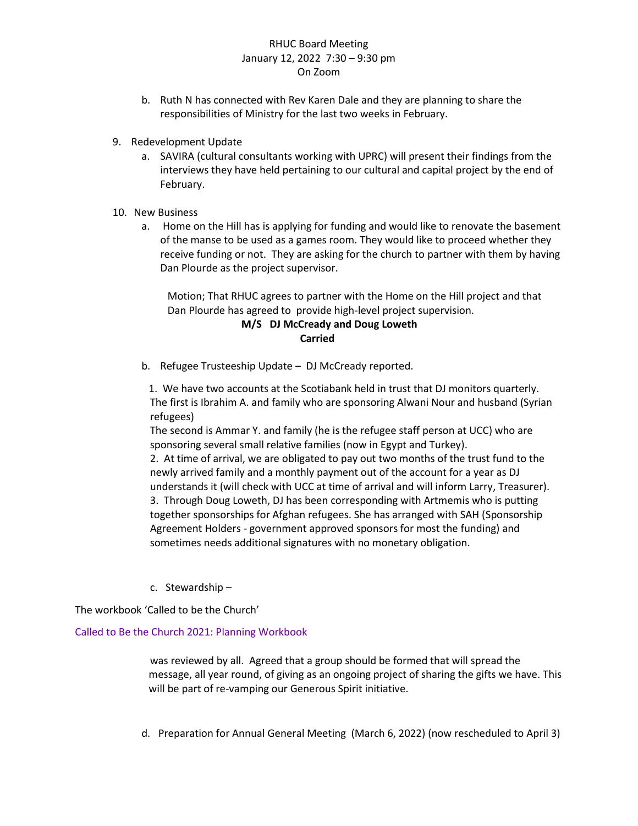# RHUC Board Meeting January 12, 2022 7:30 – 9:30 pm On Zoom

- b. Ruth N has connected with Rev Karen Dale and they are planning to share the responsibilities of Ministry for the last two weeks in February.
- 9. Redevelopment Update
	- a. SAVIRA (cultural consultants working with UPRC) will present their findings from the interviews they have held pertaining to our cultural and capital project by the end of February.
- 10. New Business
	- a. Home on the Hill has is applying for funding and would like to renovate the basement of the manse to be used as a games room. They would like to proceed whether they receive funding or not. They are asking for the church to partner with them by having Dan Plourde as the project supervisor.

Motion; That RHUC agrees to partner with the Home on the Hill project and that Dan Plourde has agreed to provide high-level project supervision.

### **M/S DJ McCready and Doug Loweth Carried**

b. Refugee Trusteeship Update – DJ McCready reported.

1. We have two accounts at the Scotiabank held in trust that DJ monitors quarterly. The first is Ibrahim A. and family who are sponsoring Alwani Nour and husband (Syrian refugees)

The second is Ammar Y. and family (he is the refugee staff person at UCC) who are sponsoring several small relative families (now in Egypt and Turkey).

2. At time of arrival, we are obligated to pay out two months of the trust fund to the newly arrived family and a monthly payment out of the account for a year as DJ understands it (will check with UCC at time of arrival and will inform Larry, Treasurer). 3. Through Doug Loweth, DJ has been corresponding with Artmemis who is putting together sponsorships for Afghan refugees. She has arranged with SAH (Sponsorship Agreement Holders - government approved sponsors for most the funding) and sometimes needs additional signatures with no monetary obligation.

c. Stewardship –

The workbook 'Called to be the Church'

### [Called to Be the Church 2021: Planning Workbook](https://united-church.ca/sites/default/files/2021-02/ctb-2021_planning-workbook.pdf)

was reviewed by all. Agreed that a group should be formed that will spread the message, all year round, of giving as an ongoing project of sharing the gifts we have. This will be part of re-vamping our Generous Spirit initiative.

d. Preparation for Annual General Meeting (March 6, 2022) (now rescheduled to April 3)